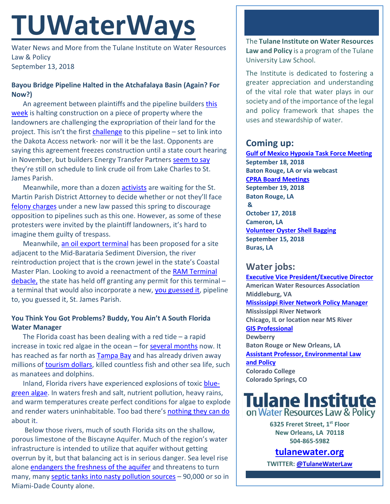# **TUWaterWays**

Water News and More from the Tulane Institute on Water Resources Law & Policy September 13, 2018

## **Bayou Bridge Pipeline Halted in the Atchafalaya Basin (Again? For Now?)**

An agreement between plaintiffs and the pipeline builders [this](https://www.nola.com/environment/index.ssf/2018/09/post_19.html#incart_river_index)  [week](https://www.nola.com/environment/index.ssf/2018/09/post_19.html#incart_river_index) is halting construction on a piece of property where the landowners are challenging the expropriation of their land for the project. This isn't the first [challenge](https://www.nola.com/environment/index.ssf/2018/07/federal_appeals_court_rules_in.html) to this pipeline – set to link into the Dakota Access network- nor will it be the last. Opponents are saying this agreement freezes construction until a state court hearing in November, but builders Energy Transfer Partner[s seem to say](https://www.theadvocate.com/baton_rouge/news/environment/article_6e647ffe-b514-11e8-9747-e78236c392c3.html) they're still on schedule to link crude oil from Lake Charles to St. James Parish.

Meanwhile, more than a dozen [activists](https://www.thenation.com/article/the-fight-to-stop-the-dakota-access-pipeline-continues-in-the-bayous-of-louisiana/) are waiting for the St. Martin Parish District Attorney to decide whether or not they'll face [felony charges](https://www.theadvocate.com/baton_rouge/news/crime_police/article_4eb86460-a635-11e8-8ad7-cf31e43dabd5.html) under a new law passed this spring to discourage opposition to pipelines such as this one. However, as some of these protesters were invited by the plaintiff landowners, it's hard to imagine them guilty of trespass.

Meanwhile, [an oil export terminal](https://www.nola.com/expo/news/erry-2018/09/ee9b94614c5492/proposed-oil-export-terminal-m.html#incart_river_index) has been proposed for a site adjacent to the Mid-Barataria Sediment Diversion, the river reintroduction project that is the crown jewel in the state's Coastal Master Plan. Looking to avoid a reenactment of the RAM Terminal [debacle,](https://www.nola.com/environment/index.ssf/2017/05/cpra_ram_coal_terminal_mid_bar.html) the state has held off granting any permit for this terminal – a terminal that would also incorporate a new, [you guessed it,](https://www.youtube.com/watch?v=9q4j3Gg6qAE) pipeline to, you guessed it, St. James Parish.

## **You Think You Got Problems? Buddy, You Ain't A South Florida Water Manager**

The Florida coast has been dealing with a red tide  $-$  a rapid increase in toxic red algae in the ocean – for [several months](https://www.csmonitor.com/Environment/2018/0829/From-pier-to-the-Capitol-red-tide-divides-and-unites-Floridians) now. It has reached as far north as [Tampa Bay](https://www.tampabay.com/news/business/tourism/Red-Tide-update-Pinellas-County-has-dumped-more-than-17-tons-of-dead-fish_171661739) and has already driven away millions of [tourism dollars,](https://www.nytimes.com/2018/09/07/travel/florida-red-tide-tourism-gulf-coast.html) killed countless fish and other sea life, such as manatees and dolphins.

Inland, Florida rivers have experienced explosions of toxic [blue](http://www.foxnews.com/science/2018/08/15/blue-green-toxic-algae-invades-florida-river.html)[green algae.](http://www.foxnews.com/science/2018/08/15/blue-green-toxic-algae-invades-florida-river.html) In waters fresh and salt, nutrient pollution, heavy rains, and warm temperatures create perfect conditions for algae to explode and render waters uninhabitable. Too bad there's [nothing they can do](https://www.miamiherald.com/news/local/environment/article215993665.html) about i[t.](https://frinkiac.com/video/S08E08/TSIr9PTulor9YZaZWwnlV4j7rFY=.gif)

Below those rivers, much of south Florida sits on the shallow, porous limestone of the Biscayne Aquifer. Much of the region's water infrastructure is intended to utilize that aquifer without getting overrun by it, but that balancing act is in serious danger. Sea level rise alone [endangers the freshness of the aquifer](https://www.bloomberg.com/news/features/2018-08-29/miami-s-other-water-problem) and threatens to turn many, man[y septic tanks into nasty pollution sources](http://news.wgcu.org/post/not-just-sea-level-rise-septic-tanks-and-superfund-sites-threaten-south-floridas-drinking-water) - 90,000 or so in Miami-Dade County alone.

The **Tulane Institute on Water Resources Law and Policy** is a program of the Tulane University Law School.

The Institute is dedicated to fostering a greater appreciation and understanding of the vital role that water plays in our society and of the importance of the legal and policy framework that shapes the uses and stewardship of water.

# **Coming up:**

**[Gulf of Mexico Hypoxia Task Force Meeting](https://water-meetings.tetratech.com/Hypoxia/StaticPublic/index.htm) September 18, 2018 Baton Rouge, LA or via webcast [CPRA Board Meetings](http://coastal.la.gov/calendar/) September 19, 2018 Baton Rouge, LA & October 17, 2018 Cameron, LA [Volunteer Oyster Shell Bagging](https://www.eventbrite.com/e/oyster-shell-bagging-coastal-louisiana-reef-restoration-09152018-shell-shoveling-showdown-with-two-tickets-48428874066?aff=erelexpmlt) September 15, 2018 Buras, LA**

## **Water jobs:**

**[Executive Vice President/Executive Director](https://careerhq.asaecenter.org/jobs/11460403/executive-vice-president-executive-director) American Water Resources Association Middleburg, VA [Mississippi River Network Policy Manager](https://www.idealist.org/en/nonprofit-job/b9a7d780cf8a4b1a834479d85f47638f-mississippi-river-network-policy-manager-mississippi-river-network-chicago) Mississippi River Network Chicago, IL or location near MS River [GIS Professional](https://www.joshswaterjobs.com/jobs/9332) Dewberry Baton Rouge or New Orleans, LA [Assistant Professor, Environmental Law](https://employment.coloradocollege.edu/postings/3477)  [and Policy](https://employment.coloradocollege.edu/postings/3477) Colorado College Colorado Springs, CO**



**6325 Freret Street, 1st Floor New Orleans, LA 70118 504-865-5982** 

## **tulanewater.org**

**TWITTER[: @TulaneWaterLaw](http://www.twitter.com/TulaneWaterLaw)**